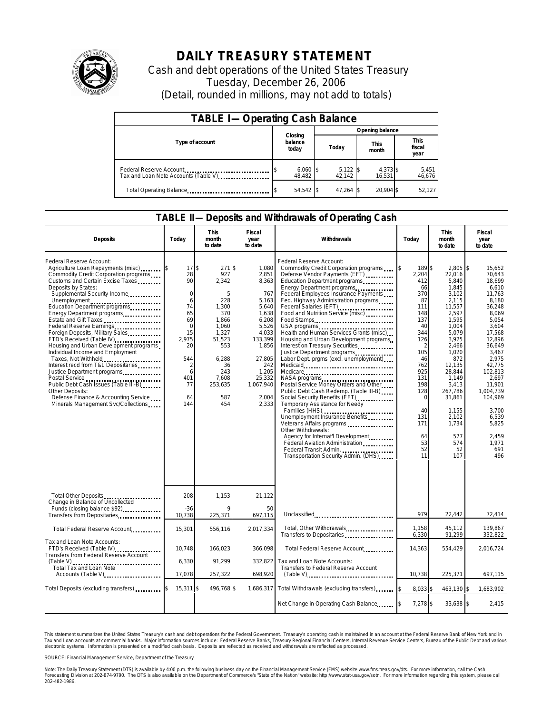

## **DAILY TREASURY STATEMENT**

Cash and debt operations of the United States Treasury Tuesday, December 26, 2006 (Detail, rounded in millions, may not add to totals)

| <b>TABLE I-Operating Cash Balance</b>                           |                             |                      |                      |                               |  |  |  |  |
|-----------------------------------------------------------------|-----------------------------|----------------------|----------------------|-------------------------------|--|--|--|--|
|                                                                 |                             | Opening balance      |                      |                               |  |  |  |  |
| Type of account                                                 | Closing<br>balance<br>today | Today                | <b>This</b><br>month | <b>This</b><br>fiscal<br>year |  |  |  |  |
| Federal Reserve Account<br>Tax and Loan Note Accounts (Table V) | $6,060$ \$<br>48.482        | $5,122$ \$<br>42.142 | 4,373 \$<br>16.531   | 5,451<br>46,676               |  |  |  |  |
| Total Operating Balance                                         | $54,542$ \$                 | $47.264$ \$          | 20.904 \$            | 52,127                        |  |  |  |  |

## **TABLE II—Deposits and Withdrawals of Operating Cash**

| <b>Deposits</b><br>Today                                                                                                                                                                                                                                                                                                                                                                                                                                                                                                                                                                                                                                                                                                         |                                                                                                                                     | <b>This</b><br>month<br>to date                                                                                                                           | Fiscal<br>year<br>to date                                                                                                                                                         | Withdrawals                                                                                                                                                                                                                                                                                                                                                                                                                                                                                                                                                                                                                                                                                                                                                                                                                                                                                                    | Today                                                                                                                                                                                             | <b>This</b><br>month<br>to date                                                                                                                                                                                                                           | Fiscal<br>year<br>to date                                                                                                                                                                                                                                              |  |
|----------------------------------------------------------------------------------------------------------------------------------------------------------------------------------------------------------------------------------------------------------------------------------------------------------------------------------------------------------------------------------------------------------------------------------------------------------------------------------------------------------------------------------------------------------------------------------------------------------------------------------------------------------------------------------------------------------------------------------|-------------------------------------------------------------------------------------------------------------------------------------|-----------------------------------------------------------------------------------------------------------------------------------------------------------|-----------------------------------------------------------------------------------------------------------------------------------------------------------------------------------|----------------------------------------------------------------------------------------------------------------------------------------------------------------------------------------------------------------------------------------------------------------------------------------------------------------------------------------------------------------------------------------------------------------------------------------------------------------------------------------------------------------------------------------------------------------------------------------------------------------------------------------------------------------------------------------------------------------------------------------------------------------------------------------------------------------------------------------------------------------------------------------------------------------|---------------------------------------------------------------------------------------------------------------------------------------------------------------------------------------------------|-----------------------------------------------------------------------------------------------------------------------------------------------------------------------------------------------------------------------------------------------------------|------------------------------------------------------------------------------------------------------------------------------------------------------------------------------------------------------------------------------------------------------------------------|--|
| Federal Reserve Account:<br>Agriculture Loan Repayments (misc) [3<br>Commodity Credit Corporation programs<br>Customs and Certain Excise Taxes<br>Deposits by States:<br>Supplemental Security Income<br>Unemployment<br>Education Department programs<br>Energy Department programs<br>Estate and Gift Taxes<br>Federal Reserve Earnings<br>Foreign Deposits, Military Sales<br>FTD's Received (Table IV)<br>Housing and Urban Development programs<br>Individual Income and Employment<br>Taxes, Not Withheld<br>Interest recd from T&L Depositaries<br>Justice Department programs<br>Public Debt Cash Issues (Table III-B)<br>Other Deposits:<br>Defense Finance & Accounting Service<br>Minerals Management Svc/Collections | 17<br>28<br>90<br>$\mathbf 0$<br>6<br>74<br>65<br>69<br>$\mathbf 0$<br>15<br>2.975<br>20<br>544<br>2<br>6<br>401<br>77<br>64<br>144 | \$<br>271<br>927<br>2,342<br>5<br>228<br>1,300<br>370<br>1,866<br>1.060<br>1,327<br>51,523<br>553<br>6,288<br>36<br>243<br>7,608<br>253,635<br>587<br>454 | 1.080<br>\$<br>2,851<br>8,363<br>767<br>5,163<br>5,640<br>1,638<br>6,208<br>5,526<br>4,033<br>133,399<br>1,856<br>27,805<br>242<br>1,205<br>25,332<br>1,067,940<br>2.004<br>2,333 | Federal Reserve Account:<br>Commodity Credit Corporation programs<br>Defense Vendor Payments (EFT)<br>Education Department programs<br>Energy Department programs<br>Federal Employees Insurance Payments<br>Fed. Highway Administration programs<br>Federal Salaries (EFT)<br>Federal Salaries (EFT)<br>Food and Nutrition Service (misc)<br>Food Stamps<br>Health and Human Services Grants (misc)<br>Housing and Urban Development programs<br>Interest on Treasury Securities<br>Labor Dept. prgms (excl. unemployment)<br>Medicare<br>Postal Service Money Orders and Other<br>Public Debt Cash Redemp. (Table III-B)<br>Temporary Assistance for Needy<br>Families (HHS)<br>Unemployment Insurance Benefits<br>Veterans Affairs programs<br>Other Withdrawals:<br>Agency for Internat'l Development<br>Federal Aviation Administration<br>Federal Transit Admin.<br>Transportation Security Admin. (DHS) | l\$<br>189 \$<br>2,204<br>412<br>66<br>370<br>87<br>111<br>148<br>137<br>40<br>344<br>126<br>105<br>46<br>762<br>925<br>131<br>198<br>128<br>$\Omega$<br>40<br>131<br>171<br>64<br>53<br>52<br>11 | $2,805$ \$<br>22.016<br>5,840<br>1,845<br>3,102<br>2,115<br>11,557<br>2,597<br>1,595<br>1.004<br>5,079<br>3,925<br>2,466<br>1,020<br>872<br>12,135<br>28.844<br>1,149<br>3,413<br>267,786<br>31,861<br>1,155<br>2,102<br>1,734<br>577<br>574<br>52<br>107 | 15,652<br>70.643<br>18,699<br>6,610<br>11,763<br>8.180<br>36,248<br>8,069<br>5.054<br>3.604<br>17,568<br>12,896<br>36,649<br>3,467<br>2,975<br>42,775<br>102.813<br>2,697<br>11.901<br>1.004.739<br>104.969<br>3.700<br>6,539<br>5.825<br>2.459<br>1.971<br>691<br>496 |  |
| Total Other Deposits<br>Change in Balance of Uncollected<br>Funds (closing balance \$92)                                                                                                                                                                                                                                                                                                                                                                                                                                                                                                                                                                                                                                         | 208<br>$-36$                                                                                                                        | 1,153                                                                                                                                                     | 21.122<br>50                                                                                                                                                                      |                                                                                                                                                                                                                                                                                                                                                                                                                                                                                                                                                                                                                                                                                                                                                                                                                                                                                                                |                                                                                                                                                                                                   |                                                                                                                                                                                                                                                           |                                                                                                                                                                                                                                                                        |  |
| Transfers from Depositaries                                                                                                                                                                                                                                                                                                                                                                                                                                                                                                                                                                                                                                                                                                      | 10,738                                                                                                                              | 225,371                                                                                                                                                   | 697,115                                                                                                                                                                           | Unclassified                                                                                                                                                                                                                                                                                                                                                                                                                                                                                                                                                                                                                                                                                                                                                                                                                                                                                                   | 979                                                                                                                                                                                               | 22.442                                                                                                                                                                                                                                                    | 72,414                                                                                                                                                                                                                                                                 |  |
| Total Federal Reserve Account                                                                                                                                                                                                                                                                                                                                                                                                                                                                                                                                                                                                                                                                                                    | 15,301                                                                                                                              | 556,116                                                                                                                                                   | 2,017,334                                                                                                                                                                         | Total, Other Withdrawals<br>Transfers to Depositaries                                                                                                                                                                                                                                                                                                                                                                                                                                                                                                                                                                                                                                                                                                                                                                                                                                                          | 1,158<br>6,330                                                                                                                                                                                    | 45,112<br>91,299                                                                                                                                                                                                                                          | 139,867<br>332,822                                                                                                                                                                                                                                                     |  |
| Tax and Loan Note Accounts:<br>FTD's Received (Table IV)<br>Transfers from Federal Reserve Account                                                                                                                                                                                                                                                                                                                                                                                                                                                                                                                                                                                                                               | 10.748                                                                                                                              | 166.023                                                                                                                                                   | 366,098                                                                                                                                                                           | Total Federal Reserve Account                                                                                                                                                                                                                                                                                                                                                                                                                                                                                                                                                                                                                                                                                                                                                                                                                                                                                  | 14,363                                                                                                                                                                                            | 554,429                                                                                                                                                                                                                                                   | 2,016,724                                                                                                                                                                                                                                                              |  |
| Total Tax and Loan Note                                                                                                                                                                                                                                                                                                                                                                                                                                                                                                                                                                                                                                                                                                          | 6,330                                                                                                                               | 91,299                                                                                                                                                    | 332,822                                                                                                                                                                           | Tax and Loan Note Accounts:<br>Transfers to Federal Reserve Account                                                                                                                                                                                                                                                                                                                                                                                                                                                                                                                                                                                                                                                                                                                                                                                                                                            |                                                                                                                                                                                                   |                                                                                                                                                                                                                                                           |                                                                                                                                                                                                                                                                        |  |
| Accounts (Table V)                                                                                                                                                                                                                                                                                                                                                                                                                                                                                                                                                                                                                                                                                                               | 17.078                                                                                                                              | 257,322                                                                                                                                                   | 698,920                                                                                                                                                                           | $(Table V)$                                                                                                                                                                                                                                                                                                                                                                                                                                                                                                                                                                                                                                                                                                                                                                                                                                                                                                    | 10.738                                                                                                                                                                                            | 225,371                                                                                                                                                                                                                                                   | 697,115                                                                                                                                                                                                                                                                |  |
| Total Deposits (excluding transfers)                                                                                                                                                                                                                                                                                                                                                                                                                                                                                                                                                                                                                                                                                             | 15,311                                                                                                                              | 496,768                                                                                                                                                   | 1,686,317                                                                                                                                                                         | Total Withdrawals (excluding transfers)                                                                                                                                                                                                                                                                                                                                                                                                                                                                                                                                                                                                                                                                                                                                                                                                                                                                        | 8,033 \$<br>\$                                                                                                                                                                                    | 463,130 \$                                                                                                                                                                                                                                                | 1,683,902                                                                                                                                                                                                                                                              |  |
|                                                                                                                                                                                                                                                                                                                                                                                                                                                                                                                                                                                                                                                                                                                                  |                                                                                                                                     |                                                                                                                                                           |                                                                                                                                                                                   | Net Change in Operating Cash Balance                                                                                                                                                                                                                                                                                                                                                                                                                                                                                                                                                                                                                                                                                                                                                                                                                                                                           | 7,278 \$                                                                                                                                                                                          | 33,638 \$                                                                                                                                                                                                                                                 | 2,415                                                                                                                                                                                                                                                                  |  |

This statement summarizes the United States Treasury's cash and debt operations for the Federal Government. Treasury's operating cash is maintained in an account at the Federal Reserve Bank of New York and in<br>Tax and Loan narizes the United States Treasury's cash and debt operations for the Federal Government. Treasury's operating cash is maintained in an account at the Federal Reserve Bank of New York and in<br>nts at commercial banks. Major

SOURCE: Financial Management Service, Department of the Treasury

Note: The Daily Treasury Statement (DTS) is available by 4:00 p.m. the following business day on the Financial Management Service (FMS) website www.fms.treas.gov/dts. For more information, call the Cash<br>Forecasting Divisio 202-482-1986.